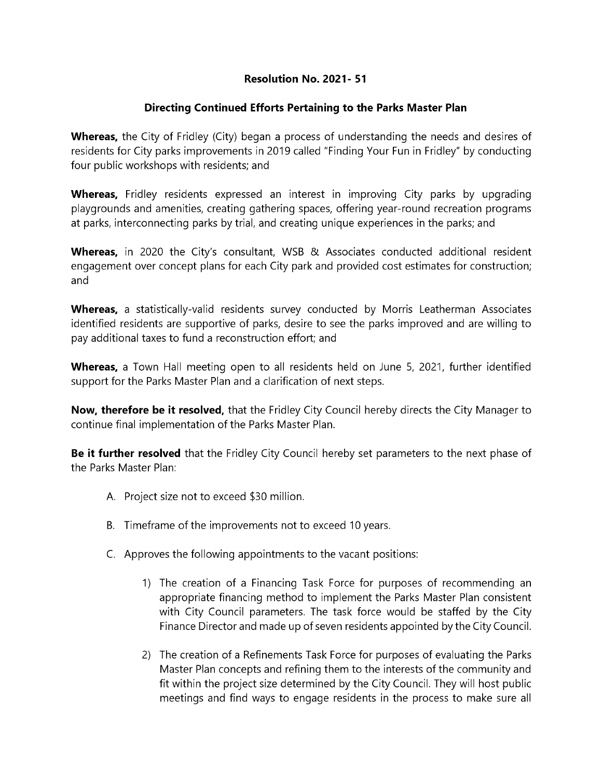## Resolution No. 2021- 51

## Directing Continued Efforts Pertaining to the Parks Master Plan

Whereas, the City of Fridley (City) began a process of understanding the needs and desires of residents for City parks improvements in 2019 called "Finding Your Fun in Fridley" by conducting four public workshops with residents; and

Whereas, Fridley residents expressed an interest in improving City parks by upgrading playgrounds and amenities, creating gathering spaces, offering year-round recreation programs at parks, interconnecting parks by trial, and creating unique experiences in the parks; and

Whereas, in 2020 the City's consultant, WSB & Associates conducted additional resident engagement over concept plans for each City park and provided cost estimates for construction; and

Whereas, a statistically-valid residents survey conducted by Morris Leatherman Associates identified residents are supportive of parks, desire to see the parks improved and are willing to pay additional taxes to fund a reconstruction effort; and

**Whereas,** a Town Hall meeting open to all residents held on June 5, 2021, further identified support for the Parks Master Plan and a clarification of next steps.

Now, therefore be it resolved, that the Fridley City Council hereby directs the City Manager to continue final implementation of the Parks Master Plan.

Be it further resolved that the Fridley City Council hereby set parameters to the next phase of the Parks Master Plan:

- A. Project size not to exceed \$30 million.
- B. Timeframe of the improvements not to exceed 10 years.
- C. Approves the following appointments to the vacant positions:
	- 1) The creation of a Financing Task Force for purposes of recommending an appropriate financing method to implement the Parks Master Plan consistent with City Council parameters. The task force would be staffed by the City Finance Director and made up of seven residents appointed by the City Council.
	- 2) The creation of a Refinements Task Force for purposes of evaluating the Parks Master Plan concepts and refining them to the interests of the community and fit within the project size determined by the City Council. They will host public meetings and find ways to engage residents in the process to make sure all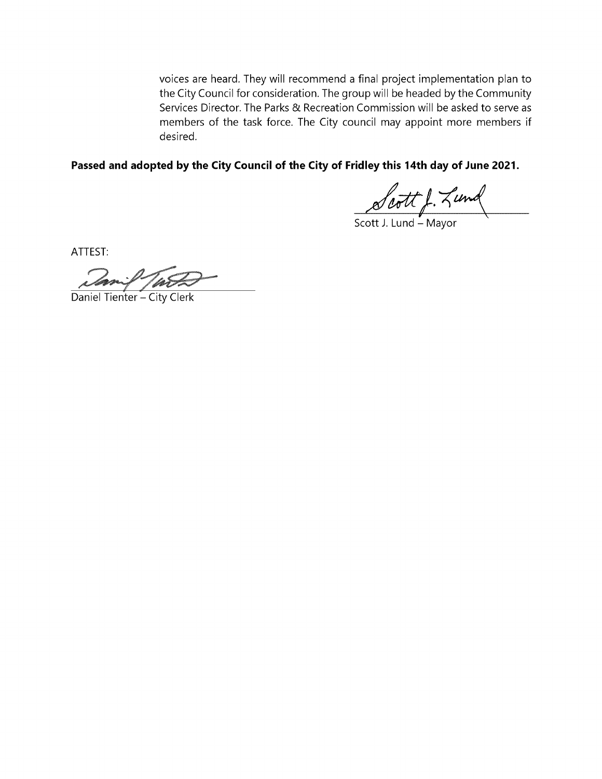voices are heard. They will recommend a final project implementation plan to the City Council for consideration. The group will be headed by the Community Services Director. The Parks & Recreation Commission will be asked to serve as members of the task force. The City council may appoint more members if desired.

Passed and adopted by the City Council of the City of Fridley this 14th day of June 2021.

Scott J. Zund

ATTEST:

Daniel Tienter – City Clerk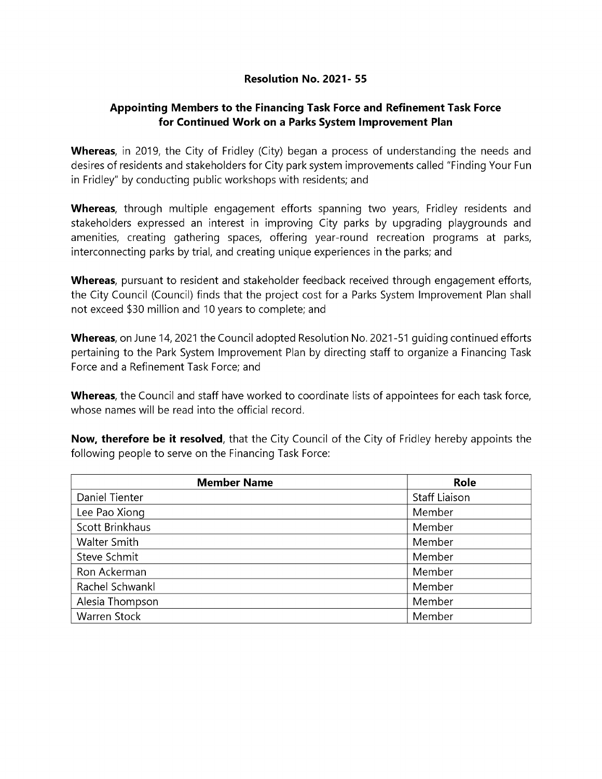## Resolution No. 2021- 55

## Appointing Members to the Financing Task Force and Refinement Task Force for Continued Work on a Parks System Improvement Plan

**Whereas**, in 2019, the City of Fridley (City) began a process of understanding the needs and desires of residents and stakeholders for City park system improvements called "Finding Your Fun in Fridley" by conducting public workshops with residents; and

**Whereas**, through multiple engagement efforts spanning two years, Fridley residents and stakeholders expressed an interest in improving City parks by upgrading playgrounds and amenities, creating gathering spaces, offering year-round recreation programs at parks, interconnecting parks by trial, and creating unique experiences in the parks; and

**Whereas**, pursuant to resident and stakeholder feedback received through engagement efforts, the City Council (Council) finds that the project cost for a Parks System Improvement Plan shall not exceed \$30 million and 10 years to complete; and

Whereas, on June 14, 2021 the Council adopted Resolution No. 2021-51 quiding continued efforts pertaining to the Park System Improvement Plan by directing staff to organize a Financing Task Force and a Refinement Task Force; and

Whereas, the Council and staff have worked to coordinate lists of appointees for each task force, whose names will be read into the official record.

Now, therefore be it resolved, that the City Council of the City of Fridley hereby appoints the following people to serve on the Financing Task Force:

| <b>Member Name</b> | Role                 |
|--------------------|----------------------|
| Daniel Tienter     | <b>Staff Liaison</b> |
| Lee Pao Xiong      | Member               |
| Scott Brinkhaus    | Member               |
| Walter Smith       | Member               |
| Steve Schmit       | Member               |
| Ron Ackerman       | Member               |
| Rachel Schwankl    | Member               |
| Alesia Thompson    | Member               |
| Warren Stock       | Member               |